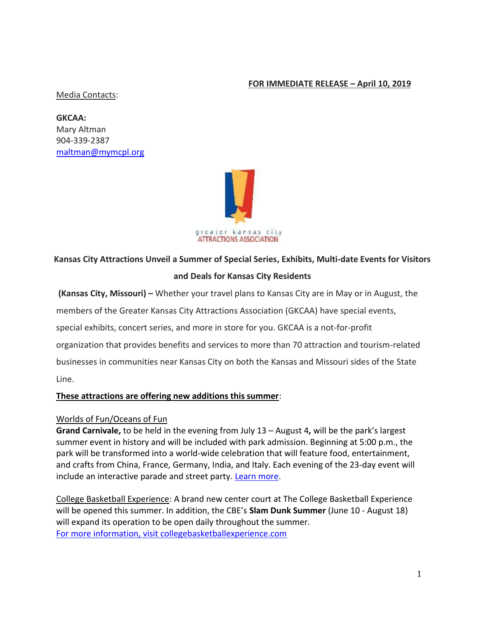# **FOR IMMEDIATE RELEASE – April 10, 2019**

#### Media Contacts:

**GKCAA:**  Mary Altman 904-339-2387 [maltman@mymcpl.org](mailto:maltman@mymcpl.org)



# **Kansas City Attractions Unveil a Summer of Special Series, Exhibits, Multi-date Events for Visitors and Deals for Kansas City Residents**

**(Kansas City, Missouri) –** Whether your travel plans to Kansas City are in May or in August, the

members of the Greater Kansas City Attractions Association (GKCAA) have special events,

special exhibits, concert series, and more in store for you. GKCAA is a not-for-profit

organization that provides benefits and services to more than 70 attraction and tourism-related

businesses in communities near Kansas City on both the Kansas and Missouri sides of the State

Line.

# **These attractions are offering new additions this summer**:

### Worlds of Fun/Oceans of Fun

**Grand Carnivale,** to be held in the evening from July 13 – August 4**,** will be the park's largest summer event in history and will be included with park admission. Beginning at 5:00 p.m., the park will be transformed into a world-wide celebration that will feature food, entertainment, and crafts from China, France, Germany, India, and Italy. Each evening of the 23-day event will include an interactive parade and street party. [Learn more.](https://www.worldsoffun.com/blog/2019/new-international-festival-announced-grand-carnivale?fbclid=IwAR0CG5Opxso0jVSXzBp7kInMTWlnTWefftHfv27shNKjVi6dTHOBVvCKvHU)

College Basketball Experience: A brand new center court at The College Basketball Experience will be opened this summer. In addition, the CBE's **Slam Dunk Summer** (June 10 - August 18) will expand its operation to be open daily throughout the summer. [For more information, visit collegebasketballexperience.com](https://collegebasketballexperience.com/)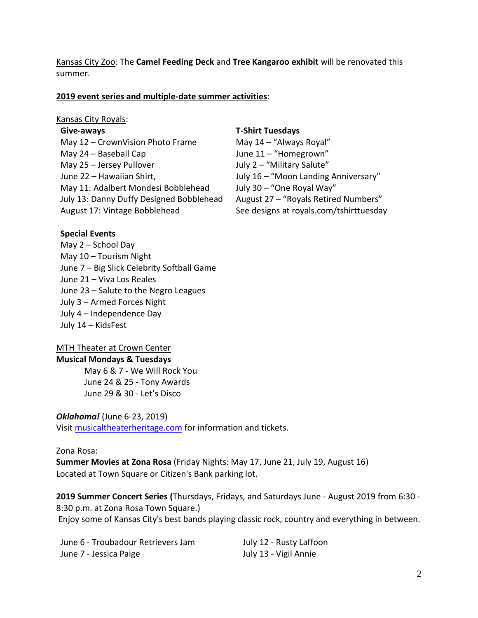Kansas City Zoo: The **Camel Feeding Deck** and **Tree Kangaroo exhibit** will be renovated this summer.

#### **2019 event series and multiple-date summer activities**:

#### Kansas City Royals:

#### **Give-aways**

May 12 – CrownVision Photo Frame May 24 – Baseball Cap May 25 – Jersey Pullover June 22 – Hawaiian Shirt, May 11: Adalbert Mondesi Bobblehead July 13: Danny Duffy Designed Bobblehead August 17: Vintage Bobblehead

#### **T-Shirt Tuesdays**

May 14 – "Always Royal" June 11 – "Homegrown" July 2 – "Military Salute" July 16 – "Moon Landing Anniversary" July 30 – "One Royal Way" August 27 – "Royals Retired Numbers" See designs at royals.com/tshirttuesday

#### **Special Events**

May 2 – School Day May 10 – Tourism Night June 7 – Big Slick Celebrity Softball Game June 21 – Viva Los Reales June 23 – Salute to the Negro Leagues July 3 – Armed Forces Night July 4 – Independence Day July 14 – KidsFest

#### MTH Theater at Crown Center

#### **Musical Mondays & Tuesdays**

May 6 & 7 - We Will Rock You June 24 & 25 - Tony Awards June 29 & 30 - Let's Disco

#### *Oklahoma!* (June 6-23, 2019)

Visi[t musicaltheaterheritage.com](https://musicaltheaterheritage.com/shows/) for information and tickets.

#### Zona Rosa:

**Summer Movies at Zona Rosa** (Friday Nights: May 17, June 21, July 19, August 16) Located at Town Square or Citizen's Bank parking lot.

**2019 Summer Concert Series (**Thursdays, Fridays, and Saturdays June - August 2019 from 6:30 - 8:30 p.m. at Zona Rosa Town Square.)

Enjoy some of Kansas City's best bands playing classic rock, country and everything in between.

| June 6 - Troubadour Retrievers Jam |  |
|------------------------------------|--|
| June 7 - Jessica Paige             |  |

July 12 - Rusty Laffoon July 13 - Vigil Annie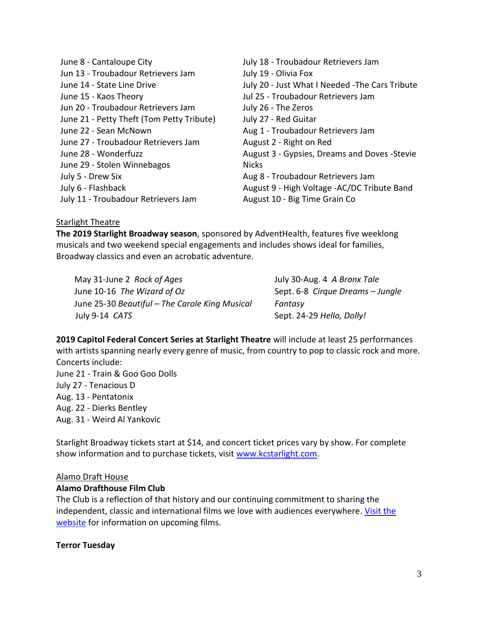June 8 - Cantaloupe City Jun 13 - Troubadour Retrievers Jam June 14 - State Line Drive June 15 - Kaos Theory Jun 20 - Troubadour Retrievers Jam June 21 - Petty Theft (Tom Petty Tribute) June 22 - Sean McNown June 27 - Troubadour Retrievers Jam June 28 - Wonderfuzz June 29 - Stolen Winnebagos July 5 - Drew Six July 6 - Flashback July 11 - Troubadour Retrievers Jam July 18 - Troubadour Retrievers Jam July 19 - Olivia Fox July 20 - Just What I Needed -The Cars Tribute Jul 25 - Troubadour Retrievers Jam July 26 - The Zeros July 27 - Red Guitar Aug 1 - Troubadour Retrievers Jam August 2 - Right on Red August 3 - Gypsies, Dreams and Doves -Stevie **Nicks** Aug 8 - Troubadour Retrievers Jam August 9 - High Voltage -AC/DC Tribute Band August 10 - Big Time Grain Co

### Starlight Theatre

**The 2019 Starlight Broadway season**, sponsored by AdventHealth, features five weeklong musicals and two weekend special engagements and includes shows ideal for families, Broadway classics and even an acrobatic adventure.

May 31-June 2 *Rock of Ages*  June 10-16 *The Wizard of Oz*  June 25-30 *Beautiful – The Carole King Musical* July 9-14 *CATS* 

July 30-Aug. 4 *A Bronx Tale* Sept. 6-8 *Cirque Dreams – Jungle Fantasy* Sept. 24-29 *Hello, Dolly!*

**2019 Capitol Federal Concert Series at Starlight Theatre** will include at least 25 performances with artists spanning nearly every genre of music, from country to pop to classic rock and more. Concerts include:

June 21 - Train & Goo Goo Dolls July 27 - Tenacious D Aug. 13 - Pentatonix Aug. 22 - Dierks Bentley Aug. 31 - Weird Al Yankovic

Starlight Broadway tickets start at \$14, and concert ticket prices vary by show. For complete show information and to purchase tickets, visit [www.kcstarlight.com.](http://www.kcstarlight.com/)

# Alamo Draft House

### **Alamo Drafthouse Film Club**

The Club is a reflection of that history and our continuing commitment to sharing the independent, classic and international films we love with audiences everywhere. [Visit the](https://drafthouse.com/kansas-city/series/film-club)  [website](https://drafthouse.com/kansas-city/series/film-club) for information on upcoming films.

#### **Terror Tuesday**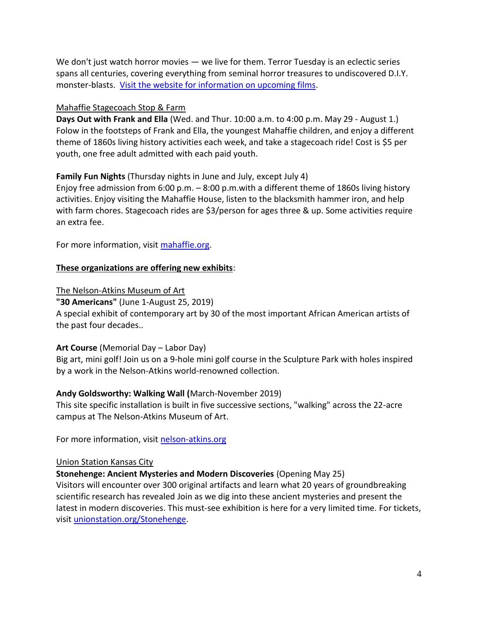We don't just watch horror movies — we live for them. Terror Tuesday is an eclectic series spans all centuries, covering everything from seminal horror treasures to undiscovered D.I.Y. monster-blasts. [Visit the website for information on upcoming films.](https://drafthouse.com/kansas-city/series/terror-tuesday)

### Mahaffie Stagecoach Stop & Farm

**Days Out with Frank and Ella** (Wed. and Thur. 10:00 a.m. to 4:00 p.m. May 29 - August 1.) Folow in the footsteps of Frank and Ella, the youngest Mahaffie children, and enjoy a different theme of 1860s living history activities each week, and take a stagecoach ride! Cost is \$5 per youth, one free adult admitted with each paid youth.

**Family Fun Nights** (Thursday nights in June and July, except July 4)

Enjoy free admission from 6:00 p.m. – 8:00 p.m.with a different theme of 1860s living history activities. Enjoy visiting the Mahaffie House, listen to the blacksmith hammer iron, and help with farm chores. Stagecoach rides are \$3/person for ages three & up. Some activities require an extra fee.

For more information, visit [mahaffie.org.](http://www.mahaffie.org/)

# **These organizations are offering new exhibits**:

The Nelson-Atkins Museum of Art

**"30 Americans"** (June 1-August 25, 2019) A special exhibit of contemporary art by 30 of the most important African American artists of the past four decades..

### **Art Course** (Memorial Day – Labor Day)

Big art, mini golf! Join us on a 9-hole mini golf course in the Sculpture Park with holes inspired by a work in the Nelson-Atkins world-renowned collection.

# **Andy Goldsworthy: Walking Wall (**March-November 2019)

This site specific installation is built in five successive sections, "walking" across the 22-acre campus at The Nelson-Atkins Museum of Art.

For more information, visit [nelson-atkins.org](https://www.nelson-atkins.org/)

# Union Station Kansas City

**Stonehenge: Ancient Mysteries and Modern Discoveries** (Opening May 25)

Visitors will encounter over 300 original artifacts and learn what 20 years of groundbreaking scientific research has revealed Join as we dig into these ancient mysteries and present the latest in modern discoveries. This must-see exhibition is here for a very limited time. For tickets, visit [unionstation.org/Stonehenge.](https://www.unionstation.org/stonehenge/)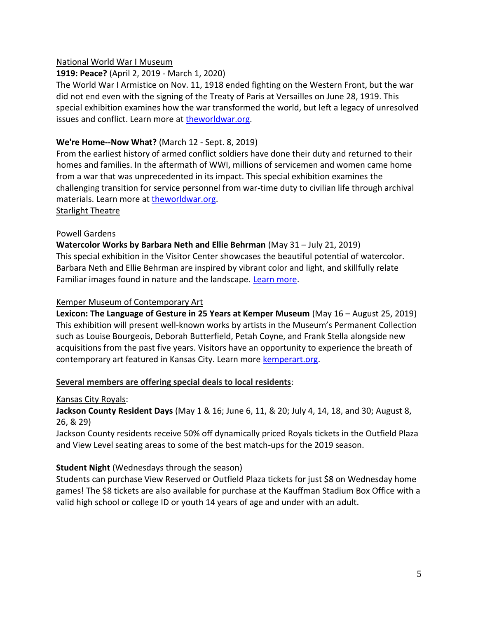# National World War I Museum

# **1919: Peace?** (April 2, 2019 - March 1, 2020)

The World War I Armistice on Nov. 11, 1918 ended fighting on the Western Front, but the war did not end even with the signing of the Treaty of Paris at Versailles on June 28, 1919. This special exhibition examines how the war transformed the world, but left a legacy of unresolved issues and conflict. Learn more at [theworldwar.org.](https://www.theworldwar.org/explore/exhibitions/current-exhibitions/1919-peace)

# **We're Home--Now What?** (March 12 - Sept. 8, 2019)

From the earliest history of armed conflict soldiers have done their duty and returned to their homes and families. In the aftermath of WWI, millions of servicemen and women came home from a war that was unprecedented in its impact. This special exhibition examines the challenging transition for service personnel from war-time duty to civilian life through archival materials. Learn more at [theworldwar.org.](https://www.theworldwar.org/explore/exhibitions/current-exhibitions/were-home-now-what) Starlight Theatre

# Powell Gardens

**Watercolor Works by Barbara Neth and Ellie Behrman** (May 31 – July 21, 2019) This special exhibition in the Visitor Center showcases the beautiful potential of watercolor. Barbara Neth and Ellie Behrman are inspired by vibrant color and light, and skillfully relate Familiar images found in nature and the landscape. [Learn more.](https://powellgardens.org/homepage/events-programs-exhibitions/calendar/)

### Kemper Museum of Contemporary Art

**Lexicon: The Language of Gesture in 25 Years at Kemper Museum** (May 16 – August 25, 2019) This exhibition will present well-known works by artists in the Museum's Permanent Collection such as Louise Bourgeois, Deborah Butterfield, Petah Coyne, and Frank Stella alongside new acquisitions from the past five years. Visitors have an opportunity to experience the breath of contemporary art featured in Kansas City. Learn more [kemperart.org.](https://www.kemperart.org/)

### **Several members are offering special deals to local residents**:

### Kansas City Royals:

**Jackson County Resident Days** (May 1 & 16; June 6, 11, & 20; July 4, 14, 18, and 30; August 8, 26, & 29)

Jackson County residents receive 50% off dynamically priced Royals tickets in the Outfield Plaza and View Level seating areas to some of the best match-ups for the 2019 season.

### **Student Night** (Wednesdays through the season)

Students can purchase View Reserved or Outfield Plaza tickets for just \$8 on Wednesday home games! The \$8 tickets are also available for purchase at the Kauffman Stadium Box Office with a valid high school or college ID or youth 14 years of age and under with an adult.